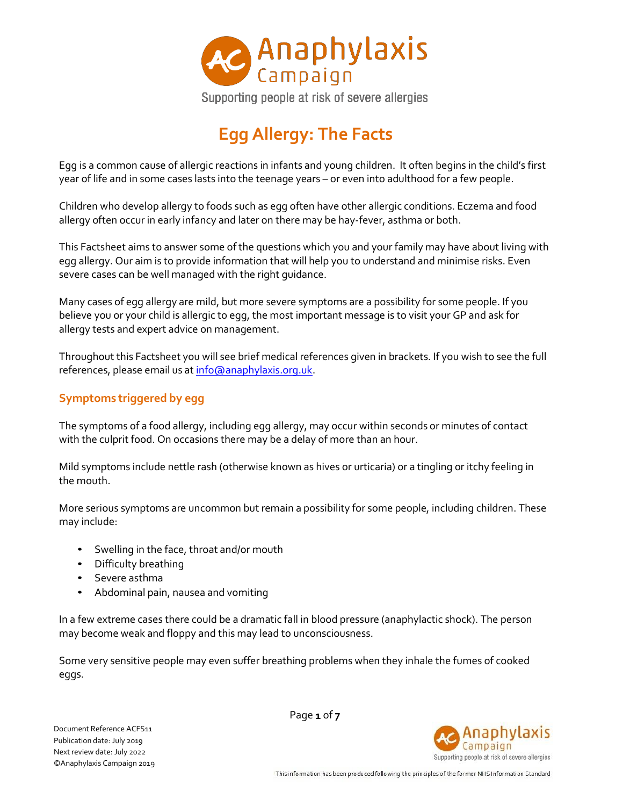

# **Egg Allergy: The Facts**

Egg is a common cause of allergic reactions in infants and young children. It often begins in the child's first year of life and in some cases lasts into the teenage years – or even into adulthood for a few people.

Children who develop allergy to foods such as egg often have other allergic conditions. Eczema and food allergy often occur in early infancy and later on there may be hay-fever, asthma or both.

This Factsheet aims to answer some of the questions which you and your family may have about living with egg allergy. Our aim is to provide information that will help you to understand and minimise risks. Even severe cases can be well managed with the right guidance.

Many cases of egg allergy are mild, but more severe symptoms are a possibility for some people. If you believe you or your child is allergic to egg, the most important message is to visit your GP and ask for allergy tests and expert advice on management.

Throughout this Factsheet you will see brief medical references given in brackets. If you wish to see the full references, please email us at [info@anaphylaxis.org.uk.](mailto:info@anaphylaxis.org.uk)

# **Symptoms triggered by egg**

The symptoms of a food allergy, including egg allergy, may occur within seconds or minutes of contact with the culprit food. On occasions there may be a delay of more than an hour.

Mild symptoms include nettle rash (otherwise known as hives or urticaria) or a tingling or itchy feeling in the mouth.

More serious symptoms are uncommon but remain a possibility for some people, including children. These may include:

- Swelling in the face, throat and/or mouth
- Difficulty breathing
- Severe asthma
- Abdominal pain, nausea and vomiting

In a few extreme cases there could be a dramatic fall in blood pressure (anaphylactic shock). The person may become weak and floppy and this may lead to unconsciousness.

Some very sensitive people may even suffer breathing problems when they inhale the fumes of cooked eggs.

Document Reference ACFS11 Publication date: July 2019 Next review date: July 2022 ©Anaphylaxis Campaign 2019 Page **1** of **7**

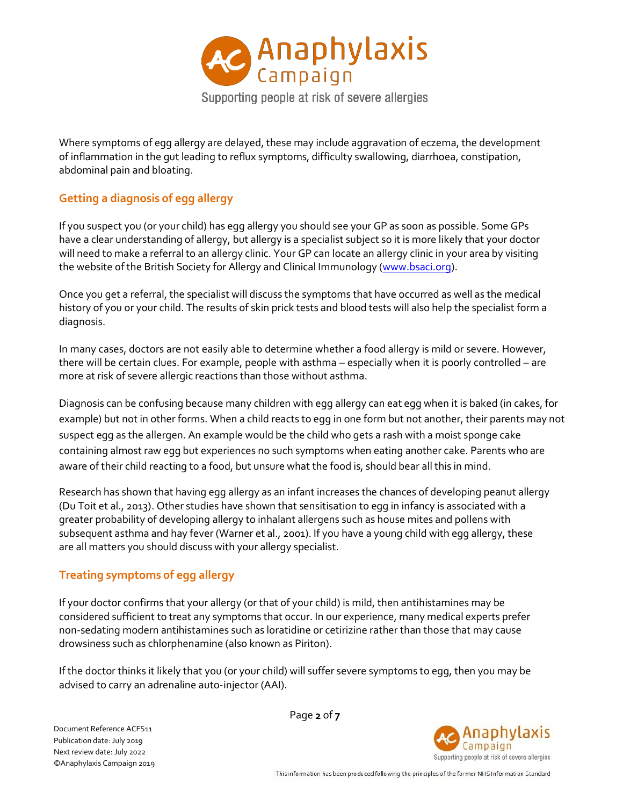

Where symptoms of egg allergy are delayed, these may include aggravation of eczema, the development of inflammation in the gut leading to reflux symptoms, difficulty swallowing, diarrhoea, constipation, abdominal pain and bloating.

# **Getting a diagnosis of egg allergy**

If you suspect you (or your child) has egg allergy you should see your GP as soon as possible. Some GPs have a clear understanding of allergy, but allergy is a specialist subject so it is more likely that your doctor will need to make a referral to an allergy clinic. Your GP can locate an allergy clinic in your area by visiting the website of the British Society for Allergy and Clinical Immunology [\(www.bsaci.org\)](http://www.bsaci.org/).

Once you get a referral, the specialist will discuss the symptoms that have occurred as well as the medical history of you or your child. The results of skin prick tests and blood tests will also help the specialist form a diagnosis.

In many cases, doctors are not easily able to determine whether a food allergy is mild or severe. However, there will be certain clues. For example, people with asthma – especially when it is poorly controlled – are more at risk of severe allergic reactions than those without asthma.

Diagnosis can be confusing because many children with egg allergy can eat egg when it is baked (in cakes, for example) but not in other forms. When a child reacts to egg in one form but not another, their parents may not suspect egg as the allergen. An example would be the child who gets a rash with a moist sponge cake containing almost raw egg but experiences no such symptoms when eating another cake. Parents who are aware of their child reacting to a food, but unsure what the food is, should bear all this in mind.

Research has shown that having egg allergy as an infant increases the chances of developing peanut allergy (Du Toit et al., 2013). Other studies have shown that sensitisation to egg in infancy is associated with a greater probability of developing allergy to inhalant allergens such as house mites and pollens with subsequent asthma and hay fever (Warner et al., 2001). If you have a young child with egg allergy, these are all matters you should discuss with your allergy specialist.

# **Treating symptoms of egg allergy**

If your doctor confirms that your allergy (or that of your child) is mild, then antihistamines may be considered sufficient to treat any symptoms that occur. In our experience, many medical experts prefer non-sedating modern antihistamines such as loratidine or cetirizine rather than those that may cause drowsiness such as chlorphenamine (also known as Piriton).

If the doctor thinks it likely that you (or your child) will suffer severe symptoms to egg, then you may be advised to carry an adrenaline auto-injector (AAI).

Document Reference ACFS11 Publication date: July 2019 Next review date: July 2022 ©Anaphylaxis Campaign 2019 Page **2** of **7**

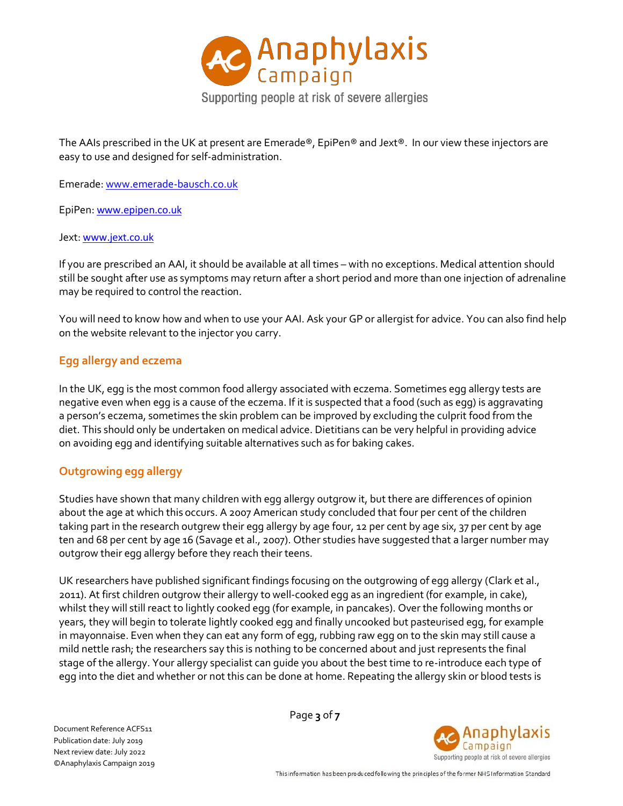

The AAIs prescribed in the UK at present are Emerade®, EpiPen® and Jext®. In our view these injectors are easy to use and designed for self-administration.

Emerade: [www.emerade-bausch.co.uk](http://www.emerade-bausch.co.uk/)

EpiPen: [www.epipen.co.uk](http://www.epipen.co.uk/)

#### Jext: [www.jext.co.uk](http://www.jext.co.uk/)

If you are prescribed an AAI, it should be available at all times – with no exceptions. Medical attention should still be sought after use as symptoms may return after a short period and more than one injection of adrenaline may be required to control the reaction.

You will need to know how and when to use your AAI. Ask your GP or allergist for advice. You can also find help on the website relevant to the injector you carry.

## **Egg allergy and eczema**

In the UK, egg is the most common food allergy associated with eczema. Sometimes egg allergy tests are negative even when egg is a cause of the eczema. If it is suspected that a food (such as egg) is aggravating a person's eczema, sometimes the skin problem can be improved by excluding the culprit food from the diet. This should only be undertaken on medical advice. Dietitians can be very helpful in providing advice on avoiding egg and identifying suitable alternatives such as for baking cakes.

## **Outgrowing egg allergy**

Studies have shown that many children with egg allergy outgrow it, but there are differences of opinion about the age at which this occurs. A 2007 American study concluded that four per cent of the children taking part in the research outgrew their egg allergy by age four, 12 per cent by age six, 37 per cent by age ten and 68 per cent by age 16 (Savage et al., 2007). Other studies have suggested that a larger number may outgrow their egg allergy before they reach their teens.

UK researchers have published significant findings focusing on the outgrowing of egg allergy (Clark et al., 2011). At first children outgrow their allergy to well-cooked egg as an ingredient (for example, in cake), whilst they will still react to lightly cooked egg (for example, in pancakes). Over the following months or years, they will begin to tolerate lightly cooked egg and finally uncooked but pasteurised egg, for example in mayonnaise. Even when they can eat any form of egg, rubbing raw egg on to the skin may still cause a mild nettle rash; the researchers say this is nothing to be concerned about and just represents the final stage of the allergy. Your allergy specialist can guide you about the best time to re-introduce each type of egg into the diet and whether or not this can be done at home. Repeating the allergy skin or blood tests is

Document Reference ACFS11 Publication date: July 2019 Next review date: July 2022 ©Anaphylaxis Campaign 2019 Page **3** of **7**

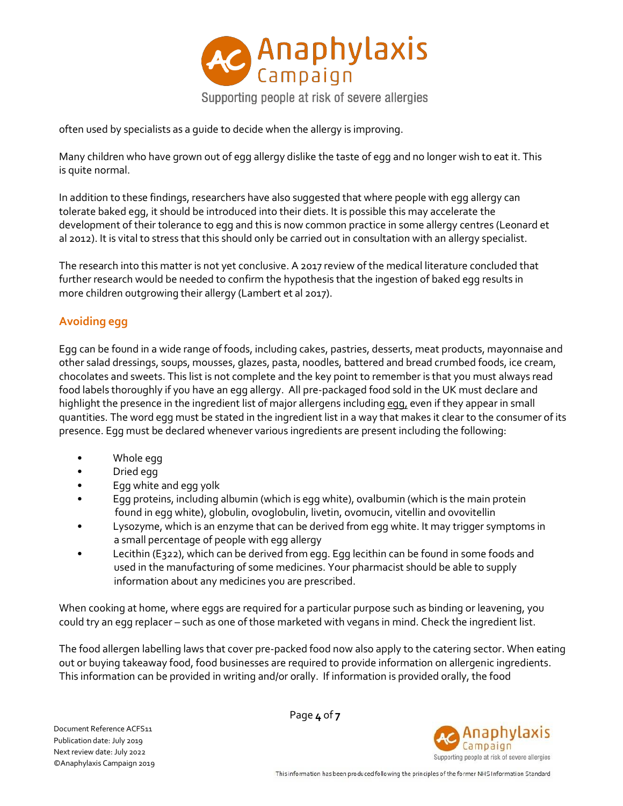

often used by specialists as a guide to decide when the allergy is improving.

Many children who have grown out of egg allergy dislike the taste of egg and no longer wish to eat it. This is quite normal.

In addition to these findings, researchers have also suggested that where people with egg allergy can tolerate baked egg, it should be introduced into their diets. It is possible this may accelerate the development of their tolerance to egg and this is now common practice in some allergy centres (Leonard et al 2012). It is vital to stress that this should only be carried out in consultation with an allergy specialist.

The research into this matter is not yet conclusive. A 2017 review of the medical literature concluded that further research would be needed to confirm the hypothesis that the ingestion of baked egg results in more children outgrowing their allergy (Lambert et al 2017).

# **Avoiding egg**

Egg can be found in a wide range of foods, including cakes, pastries, desserts, meat products, mayonnaise and other salad dressings, soups, mousses, glazes, pasta, noodles, battered and bread crumbed foods, ice cream, chocolates and sweets. This list is not complete and the key point to remember is that you must always read food labels thoroughly if you have an egg allergy. All pre-packaged food sold in the UK must declare and highlight the presence in the ingredient list of major allergens including egg, even if they appear in small quantities. The word egg must be stated in the ingredient list in a way that makes it clear to the consumer of its presence. Egg must be declared whenever various ingredients are present including the following:

- Whole egg
- Dried egg
- Egg white and egg yolk
- Egg proteins, including albumin (which is egg white), ovalbumin (which is the main protein found in egg white), globulin, ovoglobulin, livetin, ovomucin, vitellin and ovovitellin
- Lysozyme, which is an enzyme that can be derived from egg white. It may trigger symptoms in a small percentage of people with egg allergy
- Lecithin (E322), which can be derived from egg. Egg lecithin can be found in some foods and used in the manufacturing of some medicines. Your pharmacist should be able to supply information about any medicines you are prescribed.

When cooking at home, where eggs are required for a particular purpose such as binding or leavening, you could try an egg replacer – such as one of those marketed with vegans in mind. Check the ingredient list.

The food allergen labelling laws that cover pre-packed food now also apply to the catering sector. When eating out or buying takeaway food, food businesses are required to provide information on allergenic ingredients. This information can be provided in writing and/or orally. If information is provided orally, the food

Document Reference ACFS11 Publication date: July 2019 Next review date: July 2022 ©Anaphylaxis Campaign 2019 Page **4** of **7**

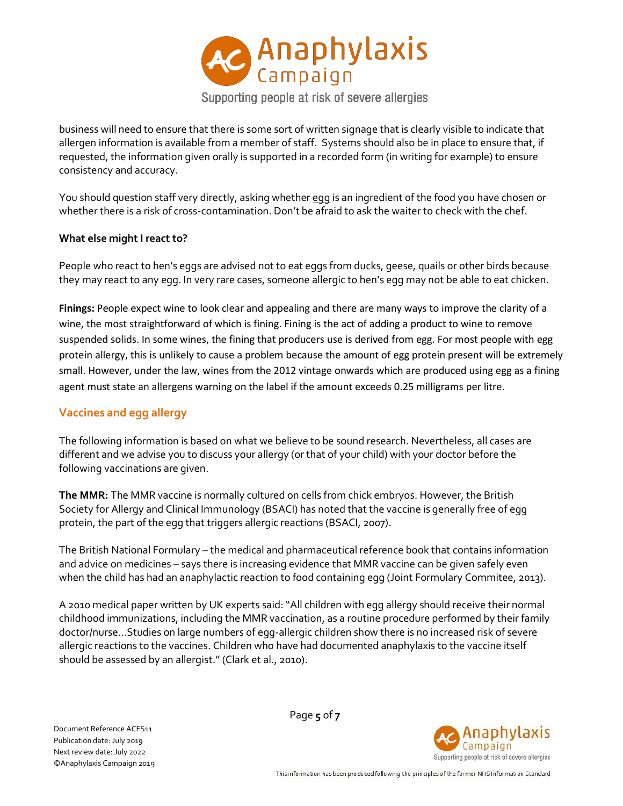

business will need to ensure that there is some sort of written signage that is clearly visible to indicate that allergen information is available from a member of staff. Systems should also be in place to ensure that, if requested, the information given orally is supported in a recorded form (in writing for example) to ensure consistency and accuracy.

You should question staff very directly, asking whether egg is an ingredient of the food you have chosen or whether there is a risk of cross-contamination. Don't be afraid to ask the waiter to check with the chef.

#### **What else might I react to?**

People who react to hen's eggs are advised not to eat eggs from ducks, geese, quails or other birds because they may react to any egg. In very rare cases, someone allergic to hen's egg may not be able to eat chicken.

**Finings:** People expect wine to look clear and appealing and there are many ways to improve the clarity of a wine, the most straightforward of which is fining. Fining is the act of adding a product to wine to remove suspended solids. In some wines, the fining that producers use is derived from egg. For most people with egg protein allergy, this is unlikely to cause a problem because the amount of egg protein present will be extremely small. However, under the law, wines from the 2012 vintage onwards which are produced using egg as a fining agent must state an allergens warning on the label if the amount exceeds 0.25 milligrams per litre.

#### **Vaccines and egg allergy**

The following information is based on what we believe to be sound research. Nevertheless, all cases are different and we advise you to discuss your allergy (or that of your child) with your doctor before the following vaccinations are given.

**The MMR:** The MMR vaccine is normally cultured on cells from chick embryos. However, the British Society for Allergy and Clinical Immunology (BSACI) has noted that the vaccine is generally free of egg protein, the part of the egg that triggers allergic reactions (BSACI, 2007).

The British National Formulary – the medical and pharmaceutical reference book that contains information and advice on medicines – says there is increasing evidence that MMR vaccine can be given safely even when the child has had an anaphylactic reaction to food containing egg (Joint Formulary Commitee, 2013).

A 2010 medical paper written by UK experts said:"All children with egg allergy should receive their normal childhood immunizations, including the MMR vaccination, as a routine procedure performed by their family doctor/nurse…Studies on large numbers of egg-allergic children show there is no increased risk of severe allergic reactions to the vaccines. Children who have had documented anaphylaxis to the vaccine itself should be assessed by an allergist."(Clark et al., 2010).

Document Reference ACFS11 Publication date: July 2019 Next review date: July 2022 ©Anaphylaxis Campaign 2019 Page **5** of **7**

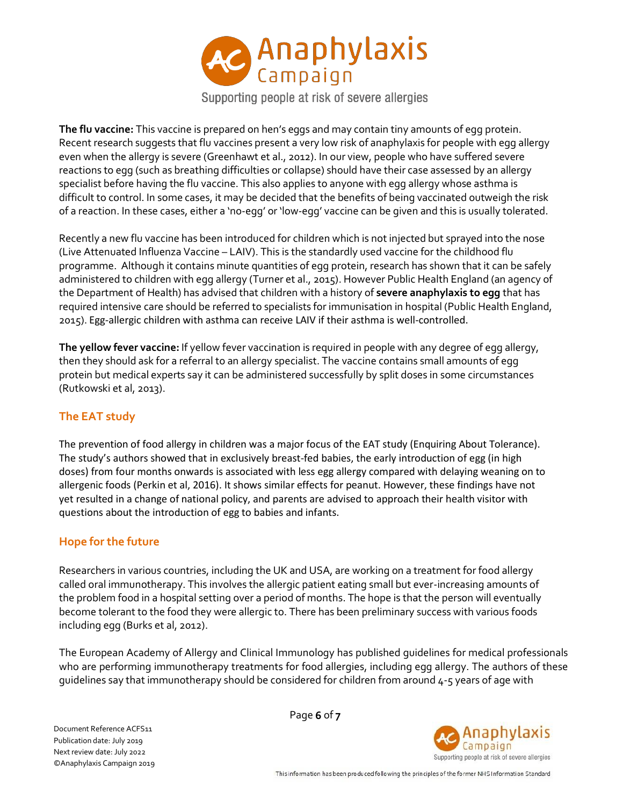

Supporting people at risk of severe allergies

**The flu vaccine:** This vaccine is prepared on hen's eggs and may contain tiny amounts of egg protein. Recent research suggests that flu vaccines present a very low risk of anaphylaxis for people with egg allergy even when the allergy is severe (Greenhawt et al., 2012). In our view, people who have suffered severe reactions to egg (such as breathing difficulties or collapse) should have their case assessed by an allergy specialist before having the flu vaccine. This also applies to anyone with egg allergy whose asthma is difficult to control. In some cases, it may be decided that the benefits of being vaccinated outweigh the risk of a reaction. In these cases, either a 'no-egg' or 'low-egg' vaccine can be given and this is usually tolerated.

Recently a new flu vaccine has been introduced for children which is not injected but sprayed into the nose (Live Attenuated Influenza Vaccine – LAIV). This is the standardly used vaccine for the childhood flu programme. Although it contains minute quantities of egg protein, research has shown that it can be safely administered to children with egg allergy (Turner et al., 2015). However Public Health England (an agency of the Department of Health) has advised that children with a history of **severe anaphylaxis to egg** that has required intensive care should be referred to specialists for immunisation in hospital (Public Health England, 2015). Egg-allergic children with asthma can receive LAIV if their asthma is well-controlled.

**The yellow fever vaccine:** If yellow fever vaccination is required in people with any degree of egg allergy, then they should ask for a referral to an allergy specialist. The vaccine contains small amounts of egg protein but medical experts say it can be administered successfully by split doses in some circumstances (Rutkowski et al, 2013).

## **The EAT study**

The prevention of food allergy in children was a major focus of the EAT study (Enquiring About Tolerance). The study's authors showed that in exclusively breast-fed babies, the early introduction of egg (in high doses) from four months onwards is associated with less egg allergy compared with delaying weaning on to allergenic foods (Perkin et al, 2016). It shows similar effects for peanut. However, these findings have not yet resulted in a change of national policy, and parents are advised to approach their health visitor with questions about the introduction of egg to babies and infants.

#### **Hope for the future**

Researchers in various countries, including the UK and USA, are working on a treatment for food allergy called oral immunotherapy. This involves the allergic patient eating small but ever-increasing amounts of the problem food in a hospital setting over a period of months. The hope is that the person will eventually become tolerant to the food they were allergic to. There has been preliminary success with various foods including egg (Burks et al, 2012).

The European Academy of Allergy and Clinical Immunology has published guidelines for medical professionals who are performing immunotherapy treatments for food allergies, including egg allergy. The authors of these guidelines say that immunotherapy should be considered for children from around 4‐5 years of age with

Document Reference ACFS11 Publication date: July 2019 Next review date: July 2022 ©Anaphylaxis Campaign 2019 Page **6** of **7**